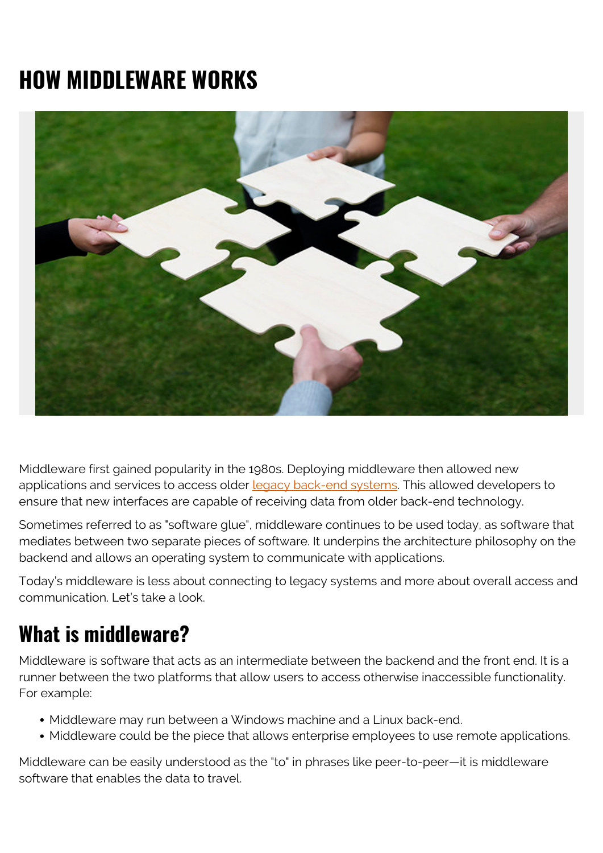# **HOW MIDDLEWARE WORKS**



Middleware first gained popularity in the 1980s. Deploying middleware then allowed new applications and services to access older [legacy back-end systems](https://blogs.bmc.com/blogs/application-software-modernization/). This allowed developers to ensure that new interfaces are capable of receiving data from older back-end technology.

Sometimes referred to as "software glue", middleware continues to be used today, as software that mediates between two separate pieces of software. It underpins the architecture philosophy on the backend and allows an operating system to communicate with applications.

Today's middleware is less about connecting to legacy systems and more about overall access and communication. Let's take a look.

## **What is middleware?**

Middleware is software that acts as an intermediate between the backend and the front end. It is a runner between the two platforms that allow users to access otherwise inaccessible functionality. For example:

- Middleware may run between a Windows machine and a Linux back-end.
- Middleware could be the piece that allows enterprise employees to use remote applications.

Middleware can be easily understood as the "to" in phrases like peer-to-peer—it is middleware software that enables the data to travel.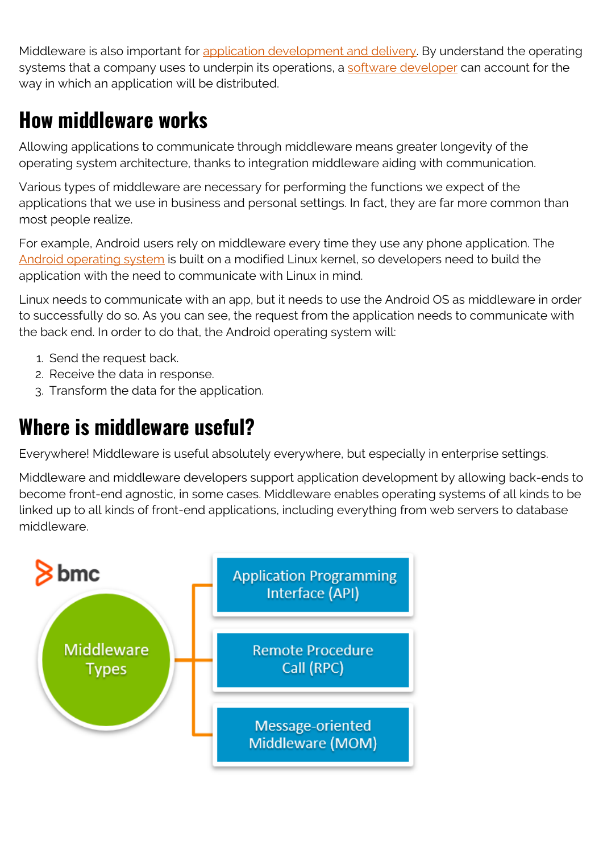Middleware is also important for [application development and delivery](https://blogs.bmc.com/blogs/sdlc-software-development-lifecycle/). By understand the operating systems that a company uses to underpin its operations, a [software developer](https://blogs.bmc.com/blogs/application-developer-roles-responsibilities/) can account for the way in which an application will be distributed.

## **How middleware works**

Allowing applications to communicate through middleware means greater longevity of the operating system architecture, thanks to integration middleware aiding with communication.

Various types of middleware are necessary for performing the functions we expect of the applications that we use in business and personal settings. In fact, they are far more common than most people realize.

For example, Android users rely on middleware every time they use any phone application. The [Android operating system](https://stackoverflow.com/questions/22707784/what-is-middleware-in-android) is built on a modified Linux kernel, so developers need to build the application with the need to communicate with Linux in mind.

Linux needs to communicate with an app, but it needs to use the Android OS as middleware in order to successfully do so. As you can see, the request from the application needs to communicate with the back end. In order to do that, the Android operating system will:

- 1. Send the request back.
- 2. Receive the data in response.
- 3. Transform the data for the application.

## **Where is middleware useful?**

Everywhere! Middleware is useful absolutely everywhere, but especially in enterprise settings.

Middleware and middleware developers support application development by allowing back-ends to become front-end agnostic, in some cases. Middleware enables operating systems of all kinds to be linked up to all kinds of front-end applications, including everything from web servers to database middleware.

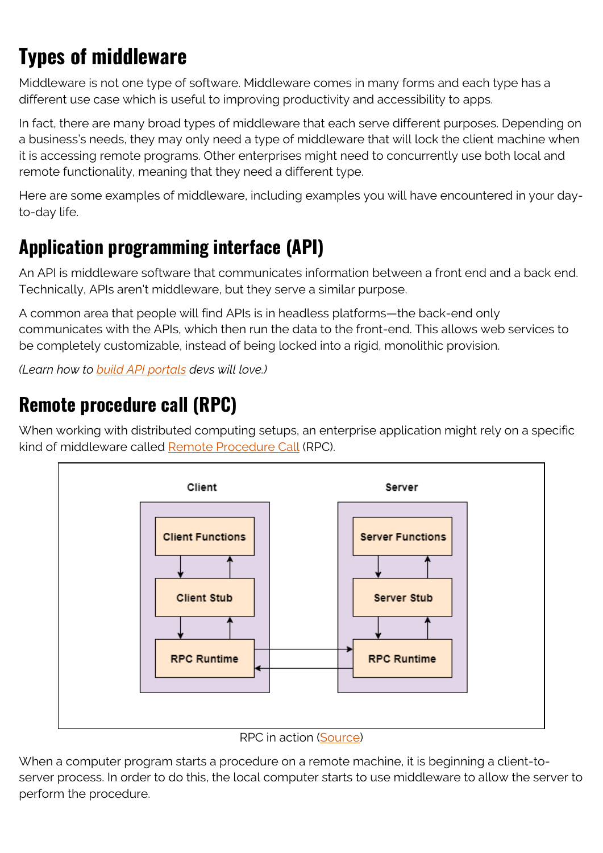## **Types of middleware**

Middleware is not one type of software. Middleware comes in many forms and each type has a different use case which is useful to improving productivity and accessibility to apps.

In fact, there are many broad types of middleware that each serve different purposes. Depending on a business's needs, they may only need a type of middleware that will lock the client machine when it is accessing remote programs. Other enterprises might need to concurrently use both local and remote functionality, meaning that they need a different type.

Here are some examples of middleware, including examples you will have encountered in your dayto-day life.

#### **Application programming interface (API)**

An API is middleware software that communicates information between a front end and a back end. Technically, APIs aren't middleware, but they serve a similar purpose.

A common area that people will find APIs is in headless platforms—the back-end only communicates with the APIs, which then run the data to the front-end. This allows web services to be completely customizable, instead of being locked into a rigid, monolithic provision.

*(Learn how to [build API portals](https://blogs.bmc.com/blogs/api-developer-portals/) devs will love.)*

#### **Remote procedure call (RPC)**

When working with distributed computing setups, an enterprise application might rely on a specific kind of middleware called [Remote Procedure Call](https://www.tutorialspoint.com/remote-procedure-call-rpc) (RPC).



RPC in action [\(Source](https://www.tutorialspoint.com/remote-procedure-call-rpc))

When a computer program starts a procedure on a remote machine, it is beginning a client-toserver process. In order to do this, the local computer starts to use middleware to allow the server to perform the procedure.